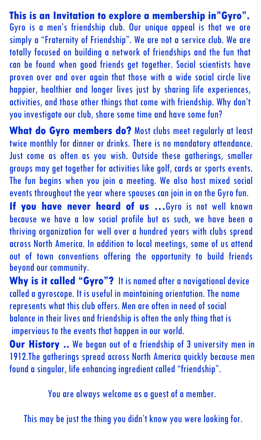**This is an Invitation to explore a membership in"Gyro".** Gyro is a men's friendship club. Our unique appeal is that we are simply a "Fraternity of Friendship". We are not a service club. We are totally focused on building a network of friendships and the fun that can be found when good friends get together. Social scientists have proven over and over again that those with a wide social circle live happier, healthier and longer lives just by sharing life experiences, activities, and those other things that come with friendship. Why don't you investigate our club, share some time and have some fun?

**What do Gyro members do?** Most clubs meet regularly at least twice monthly for dinner or drinks. There is no mandatory attendance. Just come as often as you wish. Outside these gatherings, smaller groups may get together for activities like golf, cards or sports events. The fun begins when you join a meeting. We also host mixed social events throughout the year where spouses can join in on the Gyro fun.

**If you have never heard of us …**Gyro is not well known because we have a low social profile but as such, we have been a thriving organization for well over a hundred years with clubs spread across North America. In addition to local meetings, some of us attend out of town conventions offering the opportunity to build friends beyond our community.

**Why is it called "Gyro"?** It is named after a navigational device called a gyroscope. It is useful in maintaining orientation. The name represents what this club offers. Men are often in need of social balance in their lives and friendship is often the only thing that is impervious to the events that happen in our world.

**Our History** .. We began out of a friendship of 3 university men in 1912.The gatherings spread across North America quickly because men found a singular, life enhancing ingredient called "friendship".

You are always welcome as a guest of a member.

This may be just the thing you didn't know you were looking for.